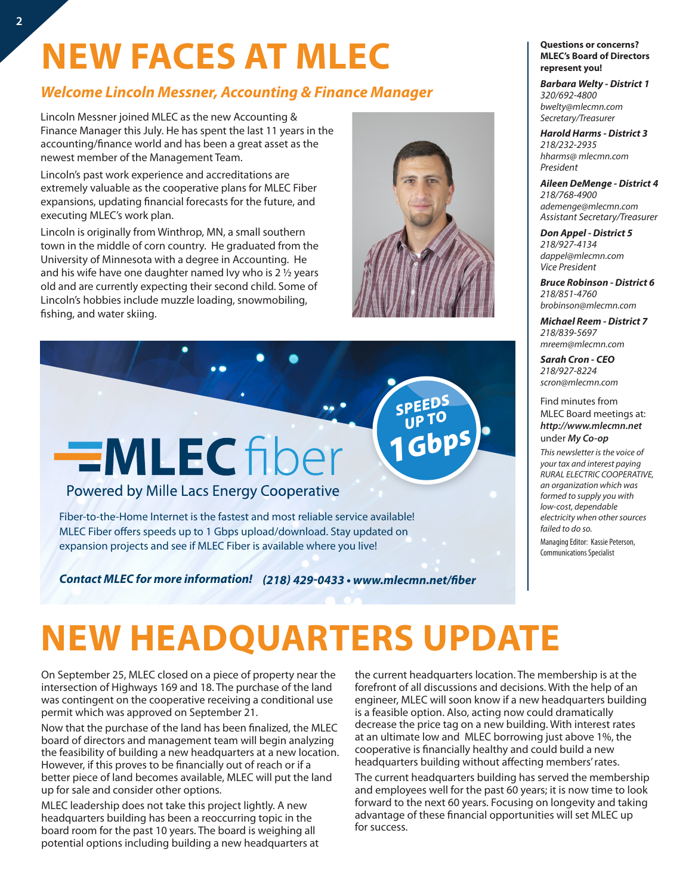## **NEW FACES AT MLEC**

### *Welcome Lincoln Messner, Accounting & Finance Manager*

Lincoln Messner joined MLEC as the new Accounting & Finance Manager this July. He has spent the last 11 years in the accounting/finance world and has been a great asset as the newest member of the Management Team.

Lincoln's past work experience and accreditations are extremely valuable as the cooperative plans for MLEC Fiber expansions, updating financial forecasts for the future, and executing MLEC's work plan.

Lincoln is originally from Winthrop, MN, a small southern town in the middle of corn country. He graduated from the University of Minnesota with a degree in Accounting. He and his wife have one daughter named Ivy who is 2 ½ years old and are currently expecting their second child. Some of Lincoln's hobbies include muzzle loading, snowmobiling, fishing, and water skiing.

# **EMLECfiber**

Powered by Mille Lacs Energy Cooperative

Fiber-to-the-Home Internet is the fastest and most reliable service available! MLEC Fiber offers speeds up to 1 Gbps upload/download. Stay updated on expansion projects and see if MLEC Fiber is available where you live!

*(218) 429-0433 • www.mlecmn.net/fiber Contact MLEC for more information!*

#### **Questions or concerns? MLEC's Board of Directors represent you!**

*Barbara Welty - District 1 320/692-4800 bwelty@mlecmn.com Secretary/Treasurer*

*Harold Harms - District 3 218/232-2935 hharms@ mlecmn.com President*

*Aileen DeMenge - District 4 218/768-4900 ademenge@mlecmn.com Assistant Secretary/Treasurer*

*Don Appel - District 5 218/927-4134 dappel@mlecmn.com Vice President*

*Bruce Robinson - District 6 218/851-4760 brobinson@mlecmn.com*

*Michael Reem - District 7 218/839-5697 mreem@mlecmn.com*

*Sarah Cron - CEO 218/927-8224 scron@mlecmn.com*

Find minutes from MLEC Board meetings at: *http://www.mlecmn.net* under *My Co-op*

*This newsletter is the voice of your tax and interest paying RURAL ELECTRIC COOPERATIVE, an organization which was formed to supply you with low-cost, dependable electricity when other sources failed to do so.*  Managing Editor: Kassie Peterson,

Communications Specialist

## **NEW HEADQUARTERS UPDATE**

On September 25, MLEC closed on a piece of property near the intersection of Highways 169 and 18. The purchase of the land was contingent on the cooperative receiving a conditional use permit which was approved on September 21.

Now that the purchase of the land has been finalized, the MLEC board of directors and management team will begin analyzing the feasibility of building a new headquarters at a new location. However, if this proves to be financially out of reach or if a better piece of land becomes available, MLEC will put the land up for sale and consider other options.

MLEC leadership does not take this project lightly. A new headquarters building has been a reoccurring topic in the board room for the past 10 years. The board is weighing all potential options including building a new headquarters at the current headquarters location. The membership is at the forefront of all discussions and decisions. With the help of an engineer, MLEC will soon know if a new headquarters building is a feasible option. Also, acting now could dramatically decrease the price tag on a new building. With interest rates at an ultimate low and MLEC borrowing just above 1%, the cooperative is financially healthy and could build a new headquarters building without affecting members' rates.

The current headquarters building has served the membership and employees well for the past 60 years; it is now time to look forward to the next 60 years. Focusing on longevity and taking advantage of these financial opportunities will set MLEC up for success.